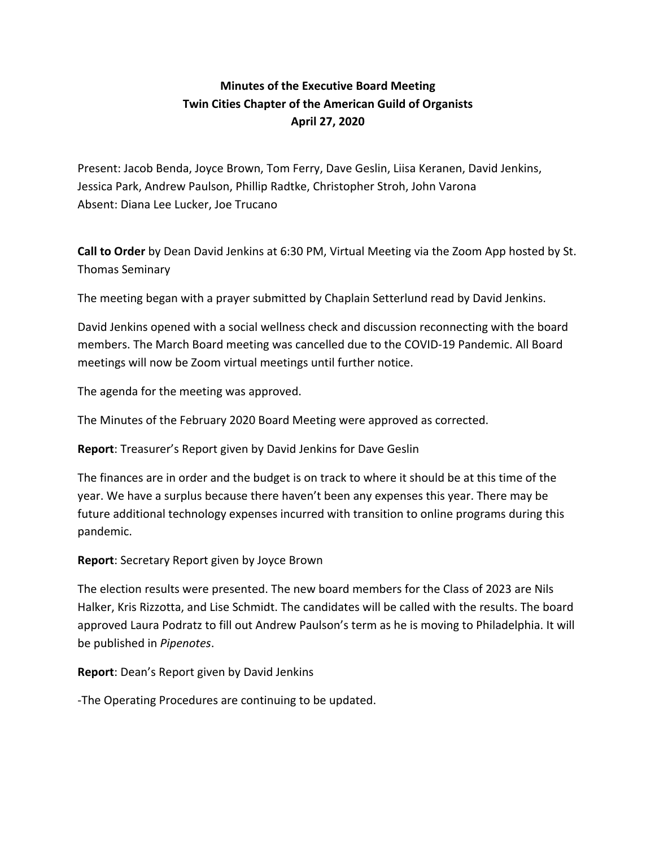## **Minutes of the Executive Board Meeting Twin Cities Chapter of the American Guild of Organists April 27, 2020**

Present: Jacob Benda, Joyce Brown, Tom Ferry, Dave Geslin, Liisa Keranen, David Jenkins, Jessica Park, Andrew Paulson, Phillip Radtke, Christopher Stroh, John Varona Absent: Diana Lee Lucker, Joe Trucano

**Call to Order** by Dean David Jenkins at 6:30 PM, Virtual Meeting via the Zoom App hosted by St. Thomas Seminary

The meeting began with a prayer submitted by Chaplain Setterlund read by David Jenkins.

David Jenkins opened with a social wellness check and discussion reconnecting with the board members. The March Board meeting was cancelled due to the COVID-19 Pandemic. All Board meetings will now be Zoom virtual meetings until further notice.

The agenda for the meeting was approved.

The Minutes of the February 2020 Board Meeting were approved as corrected.

**Report**: Treasurer's Report given by David Jenkins for Dave Geslin

The finances are in order and the budget is on track to where it should be at this time of the year. We have a surplus because there haven't been any expenses this year. There may be future additional technology expenses incurred with transition to online programs during this pandemic.

**Report**: Secretary Report given by Joyce Brown

The election results were presented. The new board members for the Class of 2023 are Nils Halker, Kris Rizzotta, and Lise Schmidt. The candidates will be called with the results. The board approved Laura Podratz to fill out Andrew Paulson's term as he is moving to Philadelphia. It will be published in *Pipenotes*.

**Report**: Dean's Report given by David Jenkins

-The Operating Procedures are continuing to be updated.